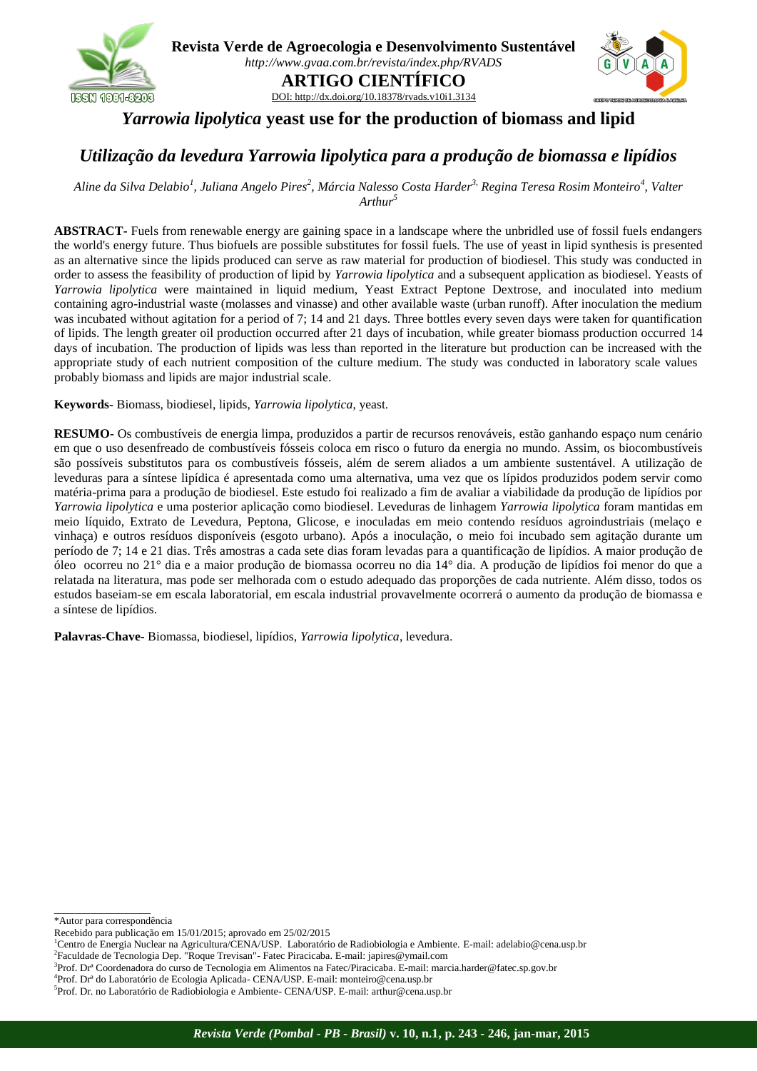

**Revista Verde de Agroecologia e Desenvolvimento Sustentável** *<http://www.gvaa.com.br/revista/index.php/RVADS>* **ARTIGO CIENTÍFICO** DOI[: http://dx.doi.org/10.18378/rvads.v10i1.3134](http://dx.doi.org/10.18378/rvads.v10i1.3040)



## *Yarrowia lipolytica* **yeast use for the production of biomass and lipid**

# *Utilização da levedura Yarrowia lipolytica para a produção de biomassa e lipídios*

*Aline da Silva Delabio<sup>1</sup> , Juliana Angelo Pires<sup>2</sup> , Márcia Nalesso Costa Harder3, Regina Teresa Rosim Monteiro<sup>4</sup> , Valter Arthur<sup>5</sup>*

**ABSTRACT-** Fuels from renewable energy are gaining space in a landscape where the unbridled use of fossil fuels endangers the world's energy future. Thus biofuels are possible substitutes for fossil fuels. The use of yeast in lipid synthesis is presented as an alternative since the lipids produced can serve as raw material for production of biodiesel. This study was conducted in order to assess the feasibility of production of lipid by *Yarrowia lipolytica* and a subsequent application as biodiesel. Yeasts of *Yarrowia lipolytica* were maintained in liquid medium, Yeast Extract Peptone Dextrose, and inoculated into medium containing agro-industrial waste (molasses and vinasse) and other available waste (urban runoff). After inoculation the medium was incubated without agitation for a period of 7; 14 and 21 days. Three bottles every seven days were taken for quantification of lipids. The length greater oil production occurred after 21 days of incubation, while greater biomass production occurred 14 days of incubation. The production of lipids was less than reported in the literature but production can be increased with the appropriate study of each nutrient composition of the culture medium. The study was conducted in laboratory scale values probably biomass and lipids are major industrial scale.

**Keywords-** Biomass, biodiesel, lipids, *Yarrowia lipolytica*, yeast.

**RESUMO-** Os combustíveis de energia limpa, produzidos a partir de recursos renováveis, estão ganhando espaço num cenário em que o uso desenfreado de combustíveis fósseis coloca em risco o futuro da energia no mundo. Assim, os biocombustíveis são possíveis substitutos para os combustíveis fósseis, além de serem aliados a um ambiente sustentável. A utilização de leveduras para a síntese lipídica é apresentada como uma alternativa, uma vez que os lípidos produzidos podem servir como matéria-prima para a produção de biodiesel. Este estudo foi realizado a fim de avaliar a viabilidade da produção de lipídios por *Yarrowia lipolytica* e uma posterior aplicação como biodiesel. Leveduras de linhagem *Yarrowia lipolytica* foram mantidas em meio líquido, Extrato de Levedura, Peptona, Glicose, e inoculadas em meio contendo resíduos agroindustriais (melaço e vinhaça) e outros resíduos disponíveis (esgoto urbano). Após a inoculação, o meio foi incubado sem agitação durante um período de 7; 14 e 21 dias. Três amostras a cada sete dias foram levadas para a quantificação de lipídios. A maior produção de óleo ocorreu no 21° dia e a maior produção de biomassa ocorreu no dia 14° dia. A produção de lipídios foi menor do que a relatada na literatura, mas pode ser melhorada com o estudo adequado das proporções de cada nutriente. Além disso, todos os estudos baseiam-se em escala laboratorial, em escala industrial provavelmente ocorrerá o aumento da produção de biomassa e a síntese de lipídios.

**Palavras-Chave-** Biomassa, biodiesel, lipídios, *Yarrowia lipolytica*, levedura.

\*Autor para correspondência

 $\_$ 

<sup>1</sup>Centro de Energia Nuclear na Agricultura/CENA/USP. Laboratório de Radiobiologia e Ambiente. E-mail: adelabio@cena.usp.br

Recebido para publicação em 15/01/2015; aprovado em 25/02/2015

<sup>&</sup>lt;sup>2</sup> Faculdade de Tecnologia Dep. "Roque Trevisan" - Fatec Piracicaba. E-mail: japires@ymail.com

<sup>3</sup> Prof. Drª Coordenadora do curso de Tecnologia em Alimentos na Fatec/Piracicaba. E-mail: marcia.harder@fatec.sp.gov.br

<sup>4</sup> Prof. Drª do Laboratório de Ecologia Aplicada- CENA/USP. E-mail: monteiro@cena.usp.br

<sup>5</sup> Prof. Dr. no Laboratório de Radiobiologia e Ambiente- CENA/USP. E-mail: arthur@cena.usp.br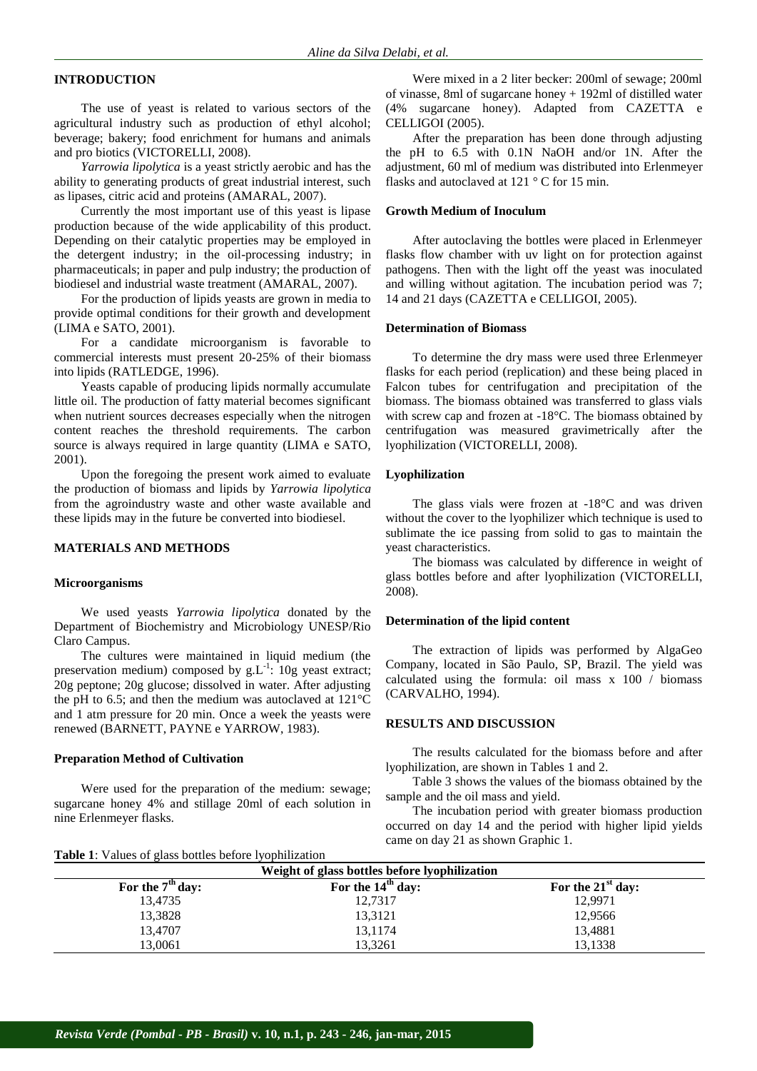## **INTRODUCTION**

The use of yeast is related to various sectors of the agricultural industry such as production of ethyl alcohol; beverage; bakery; food enrichment for humans and animals and pro biotics (VICTORELLI, 2008).

*Yarrowia lipolytica* is a yeast strictly aerobic and has the ability to generating products of great industrial interest, such as lipases, citric acid and proteins (AMARAL, 2007).

Currently the most important use of this yeast is lipase production because of the wide applicability of this product. Depending on their catalytic properties may be employed in the detergent industry; in the oil-processing industry; in pharmaceuticals; in paper and pulp industry; the production of biodiesel and industrial waste treatment (AMARAL, 2007).

For the production of lipids yeasts are grown in media to provide optimal conditions for their growth and development (LIMA e SATO, 2001).

For a candidate microorganism is favorable to commercial interests must present 20-25% of their biomass into lipids (RATLEDGE, 1996).

Yeasts capable of producing lipids normally accumulate little oil. The production of fatty material becomes significant when nutrient sources decreases especially when the nitrogen content reaches the threshold requirements. The carbon source is always required in large quantity (LIMA e SATO, 2001).

Upon the foregoing the present work aimed to evaluate the production of biomass and lipids by *Yarrowia lipolytica* from the agroindustry waste and other waste available and these lipids may in the future be converted into biodiesel.

### **MATERIALS AND METHODS**

#### **Microorganisms**

We used yeasts *Yarrowia lipolytica* donated by the Department of Biochemistry and Microbiology UNESP/Rio Claro Campus.

The cultures were maintained in liquid medium (the preservation medium) composed by  $g.L^{-1}$ : 10g yeast extract; 20g peptone; 20g glucose; dissolved in water. After adjusting the pH to 6.5; and then the medium was autoclaved at 121°C and 1 atm pressure for 20 min. Once a week the yeasts were renewed (BARNETT, PAYNE e YARROW, 1983).

#### **Preparation Method of Cultivation**

Were used for the preparation of the medium: sewage; sugarcane honey 4% and stillage 20ml of each solution in nine Erlenmeyer flasks.

Were mixed in a 2 liter becker: 200ml of sewage; 200ml of vinasse, 8ml of sugarcane honey + 192ml of distilled water (4% sugarcane honey). Adapted from CAZETTA e CELLIGOI (2005).

After the preparation has been done through adjusting the pH to 6.5 with 0.1N NaOH and/or 1N. After the adjustment, 60 ml of medium was distributed into Erlenmeyer flasks and autoclaved at 121 °C for 15 min.

#### **Growth Medium of Inoculum**

After autoclaving the bottles were placed in Erlenmeyer flasks flow chamber with uv light on for protection against pathogens. Then with the light off the yeast was inoculated and willing without agitation. The incubation period was 7; 14 and 21 days (CAZETTA e CELLIGOI, 2005).

### **Determination of Biomass**

To determine the dry mass were used three Erlenmeyer flasks for each period (replication) and these being placed in Falcon tubes for centrifugation and precipitation of the biomass. The biomass obtained was transferred to glass vials with screw cap and frozen at -18°C. The biomass obtained by centrifugation was measured gravimetrically after the lyophilization (VICTORELLI, 2008).

#### **Lyophilization**

The glass vials were frozen at -18°C and was driven without the cover to the lyophilizer which technique is used to sublimate the ice passing from solid to gas to maintain the yeast characteristics.

The biomass was calculated by difference in weight of glass bottles before and after lyophilization (VICTORELLI, 2008).

### **Determination of the lipid content**

The extraction of lipids was performed by AlgaGeo Company, located in São Paulo, SP, Brazil. The yield was calculated using the formula: oil mass x 100 / biomass (CARVALHO, 1994).

#### **RESULTS AND DISCUSSION**

The results calculated for the biomass before and after lyophilization, are shown in Tables 1 and 2.

Table 3 shows the values of the biomass obtained by the sample and the oil mass and yield.

The incubation period with greater biomass production occurred on day 14 and the period with higher lipid yields came on day 21 as shown Graphic 1.

| Weight of glass bottles before lyophilization |                     |                     |  |  |  |  |
|-----------------------------------------------|---------------------|---------------------|--|--|--|--|
| For the $7th$ day:                            | For the $14th$ day: | For the $21st$ day: |  |  |  |  |
| 13,4735                                       | 12,7317             | 12,9971             |  |  |  |  |
| 13,3828                                       | 13,3121             | 12,9566             |  |  |  |  |
| 13,4707                                       | 13,1174             | 13,4881             |  |  |  |  |
| 13.0061                                       | 13.3261             | 13,1338             |  |  |  |  |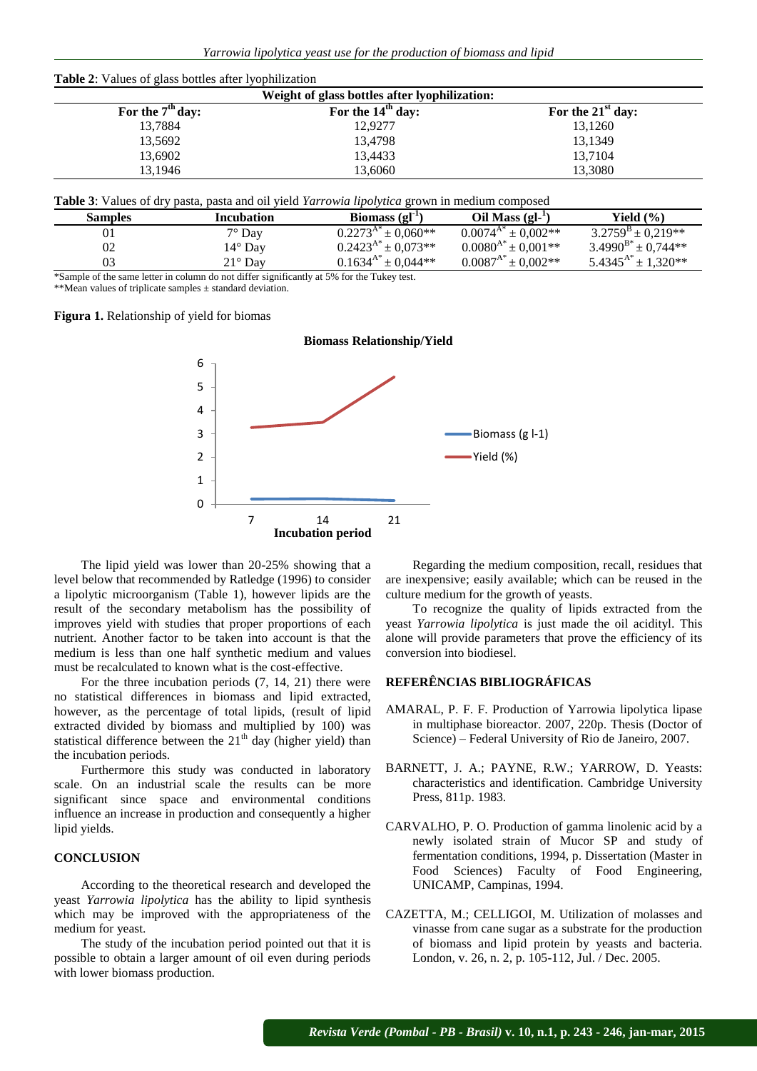| Weight of glass bottles after lyophilization: |                     |                     |  |  |  |  |
|-----------------------------------------------|---------------------|---------------------|--|--|--|--|
| For the $7th$ day:                            | For the $14th$ day: | For the $21st$ day: |  |  |  |  |
| 13,7884                                       | 12,9277             | 13,1260             |  |  |  |  |
| 13,5692                                       | 13,4798             | 13,1349             |  |  |  |  |
| 13,6902                                       | 13,4433             | 13,7104             |  |  |  |  |
| 13.1946                                       | 13,6060             | 13,3080             |  |  |  |  |

**Table 3**: Values of dry pasta, pasta and oil yield *Yarrowia lipolytica* grown in medium composed

| <b>Samples</b> | Incubation                                                                                 | Biomass $\left( \mathbf{gl}^{-1} \right)$ | Oil Mass $(gl-$               | Yield $(\% )$                   |
|----------------|--------------------------------------------------------------------------------------------|-------------------------------------------|-------------------------------|---------------------------------|
| 01             | $7^\circ$ Day                                                                              | $0.2273^{A*}$<br>$\pm 0.060$ **           | $0.0074^{A^*} \pm 0.002^{**}$ | $3.2759^{\rm B} \pm 0.219^{**}$ |
| 02             | $14^{\circ}$ Day                                                                           | $0.2423^{A*} \pm 0.073**$                 | $0.0080^{A*} \pm 0.001**$     | $3.4990^{B*} \pm 0.744**$       |
| 03             | $21^\circ$ Dav                                                                             | $0.1634^{A*} \pm 0.044**$                 | $0.0087^{A*} \pm 0.002**$     | $5.4345^{A*}$<br>$\pm$ 1,320**  |
|                | *Complete the came latter in column do not differ cignificantly at 50/ for the Tulcay toot |                                           |                               |                                 |

Sample of the same letter in column do not differ significantly at 5% for the Tukey test.

\*\*Mean values of triplicate samples ± standard deviation.

#### **Figura 1.** Relationship of yield for biomas



The lipid yield was lower than 20-25% showing that a level below that recommended by Ratledge (1996) to consider a lipolytic microorganism (Table 1), however lipids are the result of the secondary metabolism has the possibility of improves yield with studies that proper proportions of each nutrient. Another factor to be taken into account is that the medium is less than one half synthetic medium and values must be recalculated to known what is the cost-effective.

For the three incubation periods (7, 14, 21) there were no statistical differences in biomass and lipid extracted, however, as the percentage of total lipids, (result of lipid extracted divided by biomass and multiplied by 100) was statistical difference between the  $21<sup>th</sup>$  day (higher yield) than the incubation periods.

Furthermore this study was conducted in laboratory scale. On an industrial scale the results can be more significant since space and environmental conditions influence an increase in production and consequently a higher lipid yields.

## **CONCLUSION**

According to the theoretical research and developed the yeast *Yarrowia lipolytica* has the ability to lipid synthesis which may be improved with the appropriateness of the medium for yeast.

The study of the incubation period pointed out that it is possible to obtain a larger amount of oil even during periods with lower biomass production.

Regarding the medium composition, recall, residues that are inexpensive; easily available; which can be reused in the culture medium for the growth of yeasts.

To recognize the quality of lipids extracted from the yeast *Yarrowia lipolytica* is just made the oil acidityl. This alone will provide parameters that prove the efficiency of its conversion into biodiesel.

#### **REFERÊNCIAS BIBLIOGRÁFICAS**

- AMARAL, P. F. F. Production of Yarrowia lipolytica lipase in multiphase bioreactor. 2007, 220p. Thesis (Doctor of Science) – Federal University of Rio de Janeiro, 2007.
- BARNETT, J. A.; PAYNE, R.W.; YARROW, D. Yeasts: characteristics and identification. Cambridge University Press, 811p. 1983.
- CARVALHO, P. O. Production of gamma linolenic acid by a newly isolated strain of Mucor SP and study of fermentation conditions, 1994, p. Dissertation (Master in Food Sciences) Faculty of Food Engineering, UNICAMP, Campinas, 1994.
- CAZETTA, M.; CELLIGOI, M. Utilization of molasses and vinasse from cane sugar as a substrate for the production of biomass and lipid protein by yeasts and bacteria. London, v. 26, n. 2, p. 105-112, Jul. / Dec. 2005.